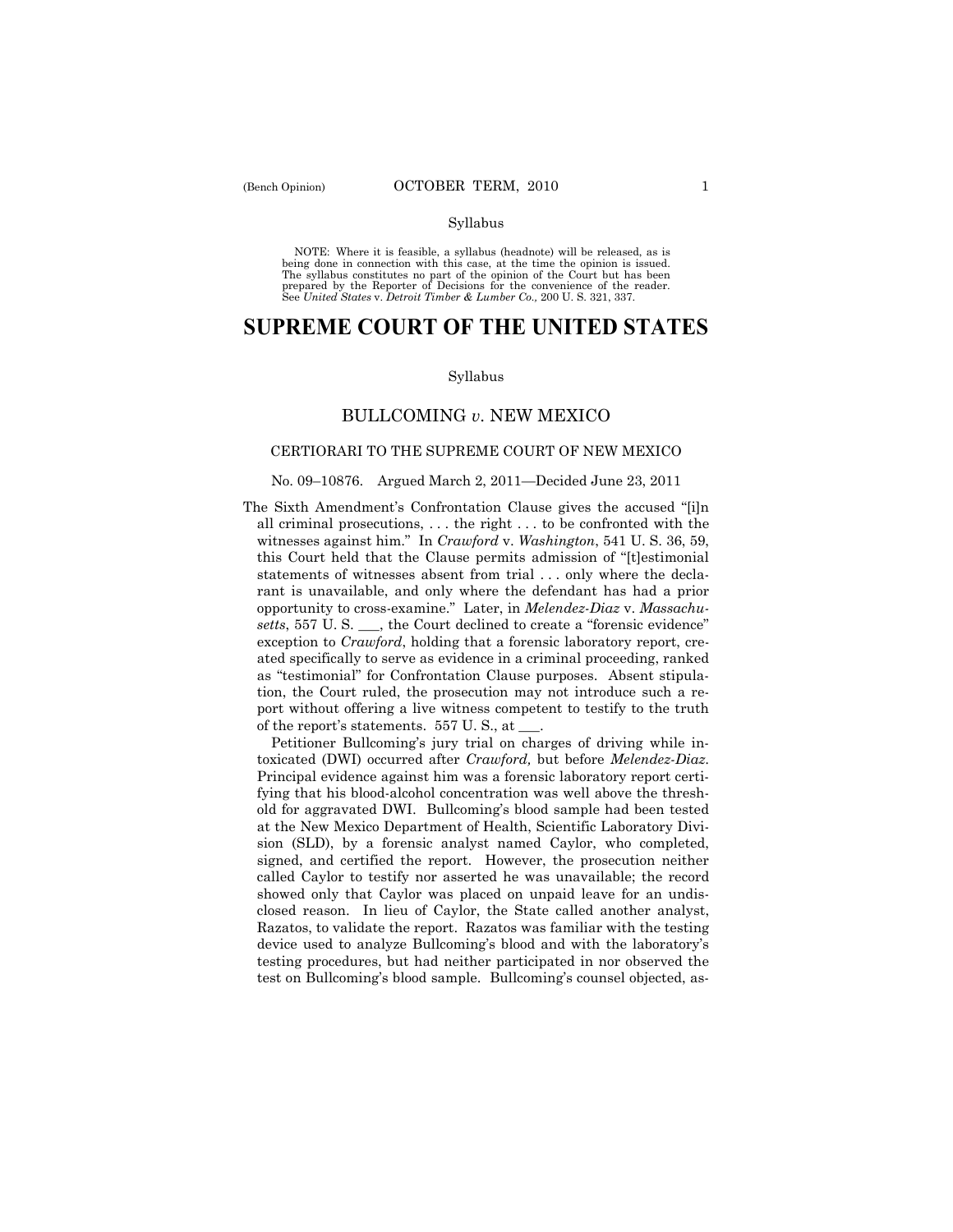NOTE: Where it is feasible, a syllabus (headnote) will be released, as is being done in connection with this case, at the time the opinion is issued. The syllabus constitutes no part of the opinion of the Court but has been<br>prepared by the Reporter of Decisions for the convenience of the reader.<br>See United States v. Detroit Timber & Lumber Co., 200 U. S. 321, 337.

# **SUPREME COURT OF THE UNITED STATES**

#### Syllabus

# BULLCOMING *v*. NEW MEXICO

## CERTIORARI TO THE SUPREME COURT OF NEW MEXICO

## No. 09–10876. Argued March 2, 2011—Decided June 23, 2011

The Sixth Amendment's Confrontation Clause gives the accused "[i]n all criminal prosecutions, . . . the right . . . to be confronted with the witnesses against him." In *Crawford* v. *Washington*, 541 U. S. 36, 59, this Court held that the Clause permits admission of "[t]estimonial statements of witnesses absent from trial . . . only where the declarant is unavailable, and only where the defendant has had a prior opportunity to cross-examine." Later, in *Melendez-Diaz* v. *Massachusetts*, 557 U. S. \_\_\_, the Court declined to create a "forensic evidence" exception to *Crawford*, holding that a forensic laboratory report, created specifically to serve as evidence in a criminal proceeding, ranked as "testimonial" for Confrontation Clause purposes. Absent stipulation, the Court ruled, the prosecution may not introduce such a report without offering a live witness competent to testify to the truth of the report's statements. 557 U.S., at  $\_$ 

 Petitioner Bullcoming's jury trial on charges of driving while intoxicated (DWI) occurred after *Crawford,* but before *Melendez-Diaz*. Principal evidence against him was a forensic laboratory report certifying that his blood-alcohol concentration was well above the threshold for aggravated DWI. Bullcoming's blood sample had been tested at the New Mexico Department of Health, Scientific Laboratory Division (SLD), by a forensic analyst named Caylor, who completed, signed, and certified the report. However, the prosecution neither called Caylor to testify nor asserted he was unavailable; the record showed only that Caylor was placed on unpaid leave for an undisclosed reason. In lieu of Caylor, the State called another analyst, Razatos, to validate the report. Razatos was familiar with the testing device used to analyze Bullcoming's blood and with the laboratory's testing procedures, but had neither participated in nor observed the test on Bullcoming's blood sample. Bullcoming's counsel objected, as-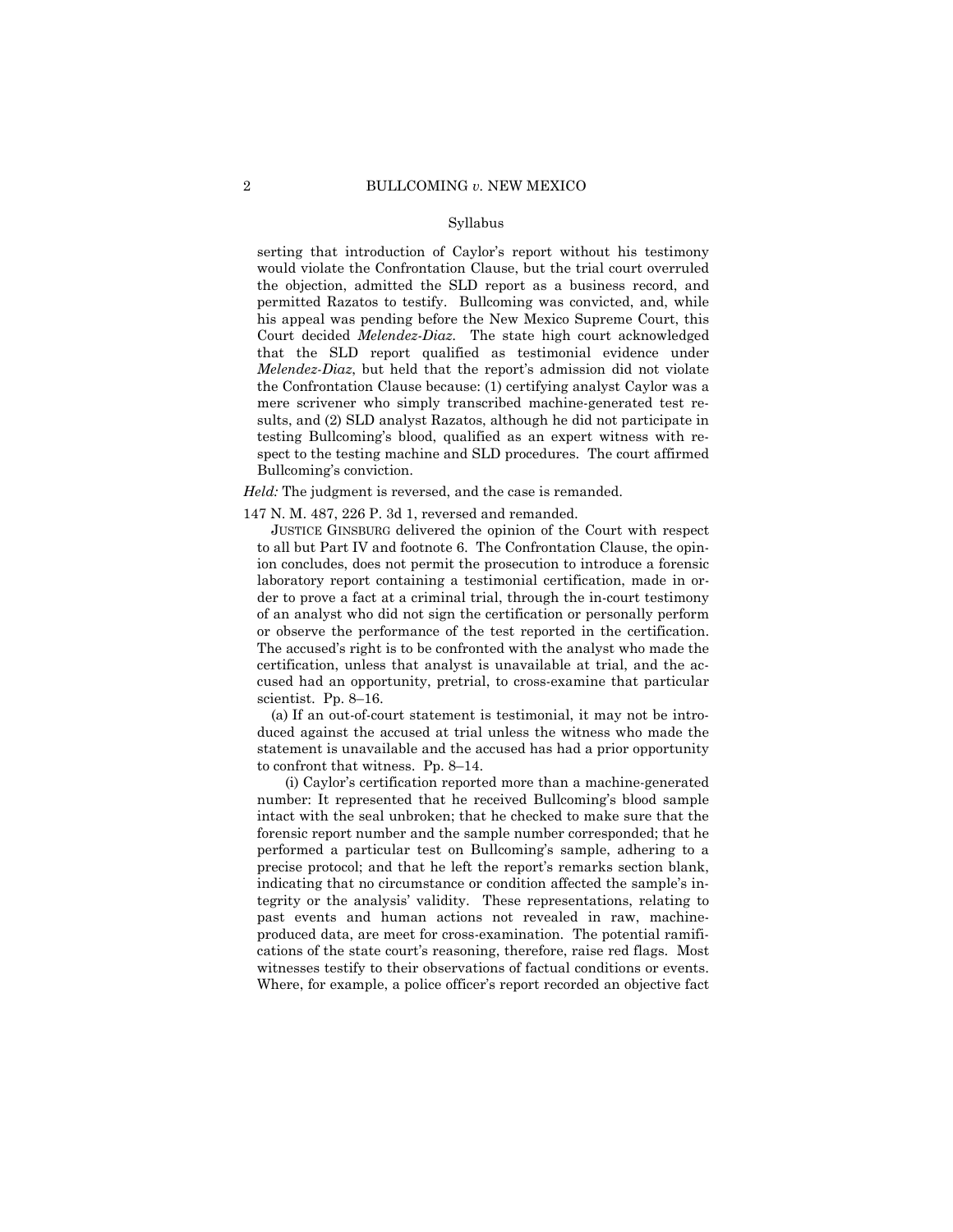serting that introduction of Caylor's report without his testimony would violate the Confrontation Clause, but the trial court overruled the objection, admitted the SLD report as a business record, and permitted Razatos to testify. Bullcoming was convicted, and, while his appeal was pending before the New Mexico Supreme Court, this Court decided *Melendez-Diaz*. The state high court acknowledged that the SLD report qualified as testimonial evidence under *Melendez-Diaz*, but held that the report's admission did not violate the Confrontation Clause because: (1) certifying analyst Caylor was a mere scrivener who simply transcribed machine-generated test results, and (2) SLD analyst Razatos, although he did not participate in testing Bullcoming's blood, qualified as an expert witness with respect to the testing machine and SLD procedures. The court affirmed Bullcoming's conviction.

*Held:* The judgment is reversed, and the case is remanded.

147 N. M. 487, 226 P. 3d 1, reversed and remanded.

 JUSTICE GINSBURG delivered the opinion of the Court with respect to all but Part IV and footnote 6. The Confrontation Clause, the opinion concludes, does not permit the prosecution to introduce a forensic laboratory report containing a testimonial certification, made in order to prove a fact at a criminal trial, through the in-court testimony of an analyst who did not sign the certification or personally perform or observe the performance of the test reported in the certification. The accused's right is to be confronted with the analyst who made the certification, unless that analyst is unavailable at trial, and the accused had an opportunity, pretrial, to cross-examine that particular scientist. Pp. 8–16.

 (a) If an out-of-court statement is testimonial, it may not be introduced against the accused at trial unless the witness who made the statement is unavailable and the accused has had a prior opportunity to confront that witness. Pp. 8–14.

 (i) Caylor's certification reported more than a machine-generated number: It represented that he received Bullcoming's blood sample intact with the seal unbroken; that he checked to make sure that the forensic report number and the sample number corresponded; that he performed a particular test on Bullcoming's sample, adhering to a precise protocol; and that he left the report's remarks section blank, indicating that no circumstance or condition affected the sample's integrity or the analysis' validity. These representations, relating to past events and human actions not revealed in raw, machineproduced data, are meet for cross-examination. The potential ramifications of the state court's reasoning, therefore, raise red flags. Most witnesses testify to their observations of factual conditions or events. Where, for example, a police officer's report recorded an objective fact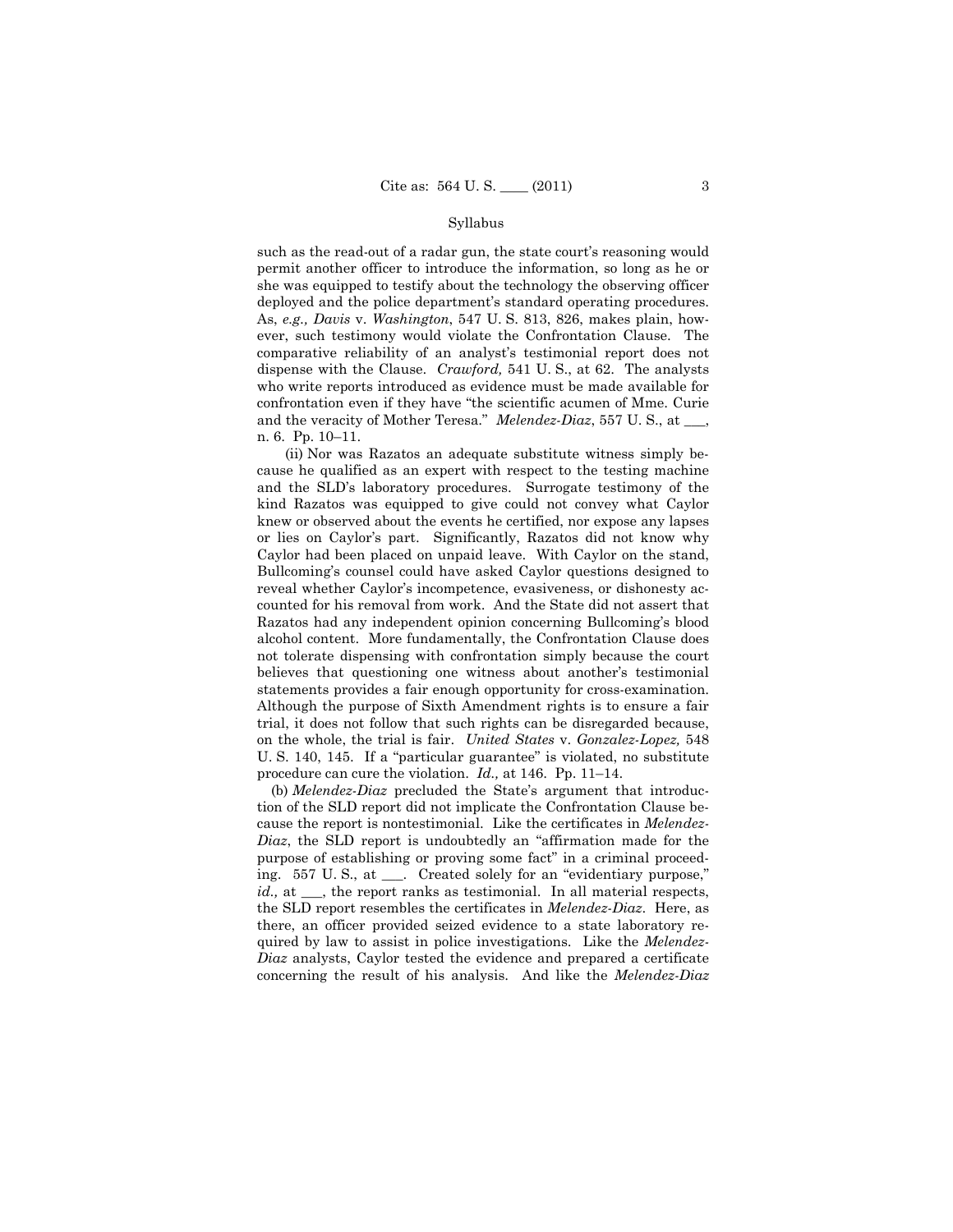such as the read-out of a radar gun, the state court's reasoning would permit another officer to introduce the information, so long as he or she was equipped to testify about the technology the observing officer deployed and the police department's standard operating procedures. As, *e.g., Davis* v. *Washington*, 547 U. S. 813, 826, makes plain, however, such testimony would violate the Confrontation Clause. The comparative reliability of an analyst's testimonial report does not dispense with the Clause. *Crawford,* 541 U. S., at 62. The analysts who write reports introduced as evidence must be made available for confrontation even if they have "the scientific acumen of Mme. Curie and the veracity of Mother Teresa." *Melendez-Diaz*, 557 U. S., at \_\_\_, n. 6. Pp. 10–11.

 (ii) Nor was Razatos an adequate substitute witness simply because he qualified as an expert with respect to the testing machine and the SLD's laboratory procedures. Surrogate testimony of the kind Razatos was equipped to give could not convey what Caylor knew or observed about the events he certified, nor expose any lapses or lies on Caylor's part. Significantly, Razatos did not know why Caylor had been placed on unpaid leave. With Caylor on the stand, Bullcoming's counsel could have asked Caylor questions designed to reveal whether Caylor's incompetence, evasiveness, or dishonesty accounted for his removal from work. And the State did not assert that Razatos had any independent opinion concerning Bullcoming's blood alcohol content. More fundamentally, the Confrontation Clause does not tolerate dispensing with confrontation simply because the court believes that questioning one witness about another's testimonial statements provides a fair enough opportunity for cross-examination. Although the purpose of Sixth Amendment rights is to ensure a fair trial, it does not follow that such rights can be disregarded because, on the whole, the trial is fair. *United States* v. *Gonzalez-Lopez,* 548 U. S. 140, 145. If a "particular guarantee" is violated, no substitute procedure can cure the violation. *Id.,* at 146. Pp. 11–14.

 (b) *Melendez-Diaz* precluded the State's argument that introduction of the SLD report did not implicate the Confrontation Clause because the report is nontestimonial. Like the certificates in *Melendez-Diaz*, the SLD report is undoubtedly an "affirmation made for the purpose of establishing or proving some fact" in a criminal proceeding. 557 U. S., at \_\_\_. Created solely for an "evidentiary purpose," *id.*, at \_\_\_, the report ranks as testimonial. In all material respects, the SLD report resembles the certificates in *Melendez-Diaz*. Here, as there, an officer provided seized evidence to a state laboratory required by law to assist in police investigations. Like the *Melendez-Diaz* analysts, Caylor tested the evidence and prepared a certificate concerning the result of his analysis. And like the *Melendez-Diaz*